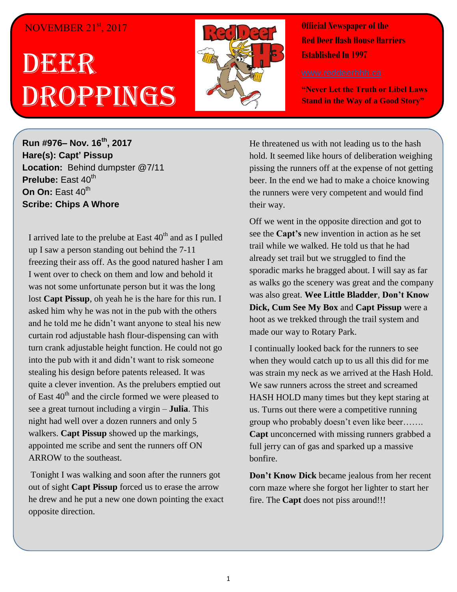## NOVEMBER 21<sup>st</sup>, 2017

## DEER Droppings



**Official Newspaper of the Red Deer Hash House Harriers Established In 1997** 

**"Never Let the Truth or Libel Laws Stand in the Way of a Good Story"**

**Run #976– Nov. 16th, 2017 Hare(s): Capt' Pissup Location:** Behind dumpster @7/11 **Prelube:** East 40<sup>th</sup> **On On:** East 40<sup>th</sup> **Scribe: Chips A Whore**

I arrived late to the prelube at East 40<sup>th</sup> and as I pulled up I saw a person standing out behind the 7-11 freezing their ass off. As the good natured hasher I am I went over to check on them and low and behold it was not some unfortunate person but it was the long lost **Capt Pissup**, oh yeah he is the hare for this run. I asked him why he was not in the pub with the others and he told me he didn't want anyone to steal his new curtain rod adjustable hash flour-dispensing can with turn crank adjustable height function. He could not go into the pub with it and didn't want to risk someone stealing his design before patents released. It was quite a clever invention. As the prelubers emptied out of East  $40<sup>th</sup>$  and the circle formed we were pleased to see a great turnout including a virgin – **Julia**. This night had well over a dozen runners and only 5 walkers. **Capt Pissup** showed up the markings, appointed me scribe and sent the runners off ON ARROW to the southeast.

Tonight I was walking and soon after the runners got out of sight **Capt Pissup** forced us to erase the arrow he drew and he put a new one down pointing the exact opposite direction.

He threatened us with not leading us to the hash hold. It seemed like hours of deliberation weighing pissing the runners off at the expense of not getting beer. In the end we had to make a choice knowing the runners were very competent and would find their way.

Off we went in the opposite direction and got to see the **Capt's** new invention in action as he set trail while we walked. He told us that he had already set trail but we struggled to find the sporadic marks he bragged about. I will say as far as walks go the scenery was great and the company was also great. **Wee Little Bladder**, **Don't Know Dick, Cum See My Box** and **Capt Pissup** were a hoot as we trekked through the trail system and made our way to Rotary Park.

I continually looked back for the runners to see when they would catch up to us all this did for me was strain my neck as we arrived at the Hash Hold. We saw runners across the street and screamed HASH HOLD many times but they kept staring at us. Turns out there were a competitive running group who probably doesn't even like beer……. **Capt** unconcerned with missing runners grabbed a full jerry can of gas and sparked up a massive bonfire.

**Don't Know Dick** became jealous from her recent corn maze where she forgot her lighter to start her fire. The **Capt** does not piss around!!!